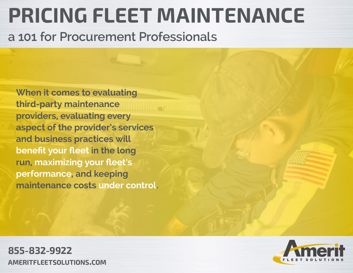### **PRICING FLEET MAINTENANCE**

**a 101 for Procurement Professionals**

**When it comes to evaluating third-party maintenance providers, evaluating every aspect of the provider's services and business practices will benefit your fleet in the long run, maximizing your fleet's performance, and keeping maintenance costs under control.**

**855-832-9922 ameritfleetsolutions.com**

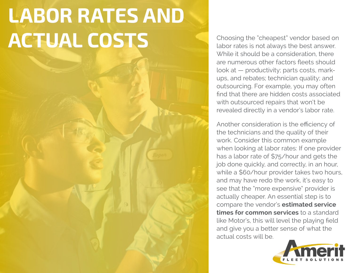## **LABOR RATES AND ACTUAL COSTS**

Choosing the "cheapest" vendor based on labor rates is not always the best answer. While it should be a consideration, there are numerous other factors fleets should look at — productivity; parts costs, markups, and rebates; technician quality; and outsourcing. For example, you may often find that there are hidden costs associated with outsourced repairs that won't be revealed directly in a vendor's labor rate.

Another consideration is the efficiency of the technicians and the quality of their work. Consider this common example when looking at labor rates: If one provider has a labor rate of \$75/hour and gets the job done quickly, and correctly, in an hour, while a \$60/hour provider takes two hours, and may have redo the work, it's easy to see that the "more expensive" provider is actually cheaper. An essential step is to compare the vendor's **estimated service times for common services** to a standard like Motor's, this will level the playing field and give you a better sense of what the actual costs will be.

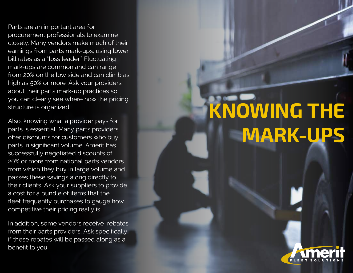Parts are an important area for procurement professionals to examine closely. Many vendors make much of their earnings from parts mark-ups, using lower bill rates as a "loss leader." Fluctuating mark-ups are common and can range from 20% on the low side and can climb as high as 50% or more. Ask your providers about their parts mark-up practices so you can clearly see where how the pricing structure is organized.

Also, knowing what a provider pays for parts is essential. Many parts providers offer discounts for customers who buy parts in significant volume. Amerit has successfully negotiated discounts of 20% or more from national parts vendors from which they buy in large volume and passes these savings along directly to their clients. Ask your suppliers to provide a cost for a bundle of items that the fleet frequently purchases to gauge how competitive their pricing really is.

In addition, some vendors receive rebates from their parts providers. Ask specifically if these rebates will be passed along as a benefit to you.

# **KNOWING THE MARK-UPS**

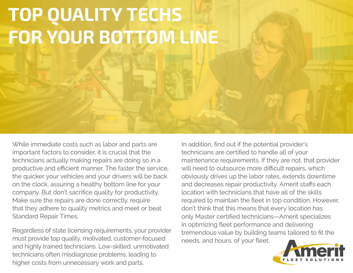#### **TOP QUALITY TECHS FOR YOUR BOTTOM LINE**

While immediate costs such as labor and parts are important factors to consider, it is crucial that the technicians actually making repairs are doing so in a productive and efficient manner. The faster the service, the quicker your vehicles and your drivers will be back on the clock, assuring a healthy bottom line for your company. But don't sacrifice quality for productivity. Make sure the repairs are done correctly, require that they adhere to quality metrics and meet or beat Standard Repair Times.

Regardless of state licensing requirements, your provider must provide top quality, motivated, customer-focused and highly trained technicians. Low-skilled, unmotivated technicians often misdiagnose problems, leading to higher costs from unnecessary work and parts.

In addition, find out if the potential provider's technicians are certified to handle all of your maintenance requirements. If they are not, that provider will need to outsource more difficult repairs, which obviously drives up the labor rates, extends downtime and decreases repair productivity. Amerit staffs each location with technicians that have all of the skills required to maintain the fleet in top condition. However, don't think that this means that every location has only Master certified technicians—Amerit specializes in optimizing fleet performance and delivering tremendous value by building teams tailored to fit the needs, and hours, of your fleet.

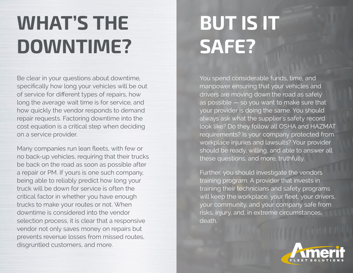#### **WHAT'S THE DOWNTIME?**

Be clear in your questions about downtime, specifically how long your vehicles will be out of service for different types of repairs, how long the average wait time is for service, and how quickly the vendor responds to demand repair requests. Factoring downtime into the cost equation is a critical step when deciding on a service provider.

Many companies run lean fleets, with few or no back-up vehicles, requiring that their trucks be back on the road as soon as possible after a repair or PM. If yours is one such company, being able to reliably predict how long your truck will be down for service is often the critical factor in whether you have enough trucks to make your routes or not. When downtime is considered into the vendor selection process, it is clear that a responsive vendor not only saves money on repairs but prevents revenue losses from missed routes, disgruntled customers, and more.

### **BUT IS IT SAFE?**

You spend considerable funds, time, and manpower ensuring that your vehicles and drivers are moving down the road as safely as possible - so you want to make sure that your provider is doing the same. You should always ask what the supplier's safety record look like? Do they follow all OSHA and HAZMAT requirements? Is your company protected from workplace injuries and lawsuits? Your provider should be ready, willing, and able to answer all these questions, and more, truthfully.

Further, you should investigate the vendors training program. A provider that invests in training their technicians and safety programs will keep the workplace, your fleet, your drivers, your community, and your company safe from risks, injury, and, in extreme circumstances, death.